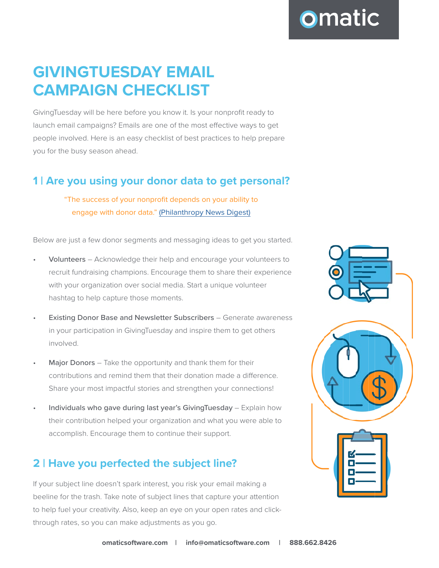GivingTuesday will be here before you know it. Is your nonprofit ready to launch email campaigns? Emails are one of the most effective ways to get people involved. Here is an easy checklist of best practices to help prepare you for the busy season ahead.

## **1 | Are you using your donor data to get personal?**

"The success of your nonprofit depends on your ability to engage with donor data." ([Philanthropy News Digest\)](https://philanthropynewsdigest.org/columns/the-sustainable-nonprofit/the-importance-of-donor-data-and-how-to-use-it-effectively)

Below are just a few donor segments and messaging ideas to get you started.

- Volunteers Acknowledge their help and encourage your volunteers to recruit fundraising champions. Encourage them to share their experience with your organization over social media. Start a unique volunteer hashtag to help capture those moments.
- **Existing Donor Base and Newsletter Subscribers Generate awareness** in your participation in GivingTuesday and inspire them to get others involved.
- Major Donors Take the opportunity and thank them for their contributions and remind them that their donation made a difference. Share your most impactful stories and strengthen your connections!
- Individuals who gave during last year's GivingTuesday Explain how their contribution helped your organization and what you were able to accomplish. Encourage them to continue their support.

# **2 | Have you perfected the subject line?**

If your subject line doesn't spark interest, you risk your email making a beeline for the trash. Take note of subject lines that capture your attention to help fuel your creativity. Also, keep an eye on your open rates and clickthrough rates, so you can make adjustments as you go.



**omatic**